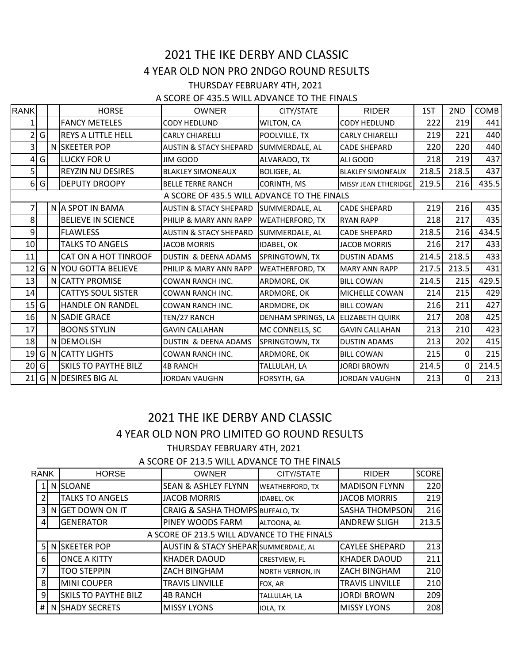## 2021 THE IKE DERBY AND CLASSIC 4 YEAR OLD NON PRO 2NDGO ROUND RESULTS THURSDAY FEBRUARY 4TH, 2021

A SCORE OF 435.5 WILL ADVANCE TO THE FINALS

| <b>RANK</b>                                 |     |  | <b>HORSE</b>                | <b>OWNER</b>                      | CITY/STATE             | <b>RIDER</b>             | 1ST   | 2ND            | COMB  |
|---------------------------------------------|-----|--|-----------------------------|-----------------------------------|------------------------|--------------------------|-------|----------------|-------|
|                                             |     |  | <b>FANCY METELES</b>        | <b>CODY HEDLUND</b>               | WILTON, CA             | CODY HEDLUND             | 222   | 219            | 441   |
|                                             | G   |  | <b>REYS A LITTLE HELL</b>   | <b>CARLY CHIARELLI</b>            | POOLVILLE, TX          | <b>CARLY CHIARELLI</b>   | 219   | 221            | 440   |
| 3                                           |     |  | N SKEETER POP               | <b>AUSTIN &amp; STACY SHEPARD</b> | SUMMERDALE, AL         | <b>CADE SHEPARD</b>      | 220   | 220            | 440   |
| 4                                           | G   |  | <b>LUCKY FOR U</b>          | <b>JIM GOOD</b>                   | ALVARADO, TX           | ALI GOOD                 | 218   | 219            | 437   |
| 5                                           |     |  | <b>REYZIN NU DESIRES</b>    | <b>BLAKLEY SIMONEAUX</b>          | <b>BOLIGEE, AL</b>     | <b>BLAKLEY SIMONEAUX</b> | 218.5 | 218.5          | 437   |
|                                             | 6 G |  | <b>DEPUTY DROOPY</b>        | <b>BELLE TERRE RANCH</b>          | CORINTH, MS            | MISSY JEAN ETHERIDGE     | 219.5 | 216            | 435.5 |
| A SCORE OF 435.5 WILL ADVANCE TO THE FINALS |     |  |                             |                                   |                        |                          |       |                |       |
|                                             |     |  | N A SPOT IN BAMA            | <b>AUSTIN &amp; STACY SHEPARD</b> | SUMMERDALE, AL         | <b>CADE SHEPARD</b>      | 219   | 216            | 435   |
| 8                                           |     |  | <b>BELIEVE IN SCIENCE</b>   | PHILIP & MARY ANN RAPP            | WEATHERFORD, TX        | <b>RYAN RAPP</b>         | 218   | 217            | 435   |
| 9                                           |     |  | <b>FLAWLESS</b>             | <b>AUSTIN &amp; STACY SHEPARD</b> | SUMMERDALE, AL         | <b>CADE SHEPARD</b>      | 218.5 | 216            | 434.5 |
| 10                                          |     |  | <b>TALKS TO ANGELS</b>      | <b>JACOB MORRIS</b>               | IDABEL, OK             | <b>JACOB MORRIS</b>      | 216   | 217            | 433   |
| 11                                          |     |  | CAT ON A HOT TINROOF        | DUSTIN & DEENA ADAMS              | SPRINGTOWN, TX         | <b>DUSTIN ADAMS</b>      | 214.5 | 218.5          | 433   |
| 12 G                                        |     |  | N YOU GOTTA BELIEVE         | PHILIP & MARY ANN RAPP            | <b>WEATHERFORD, TX</b> | <b>MARY ANN RAPP</b>     | 217.5 | 213.5          | 431   |
| 13                                          |     |  | N CATTY PROMISE             | <b>COWAN RANCH INC.</b>           | ARDMORE, OK            | <b>BILL COWAN</b>        | 214.5 | 215            | 429.5 |
| 14                                          |     |  | <b>CATTYS SOUL SISTER</b>   | COWAN RANCH INC.                  | ARDMORE, OK            | MICHELLE COWAN           | 214   | 215            | 429   |
| 15                                          | G   |  | <b>HANDLE ON RANDEL</b>     | <b>COWAN RANCH INC.</b>           | ARDMORE, OK            | <b>BILL COWAN</b>        | 216   | 211            | 427   |
| 16                                          |     |  | N SADIE GRACE               | TEN/27 RANCH                      | DENHAM SPRINGS, LA     | <b>ELIZABETH QUIRK</b>   | 217   | 208            | 425   |
| 17                                          |     |  | <b>BOONS STYLIN</b>         | <b>GAVIN CALLAHAN</b>             | MC CONNELLS, SC        | <b>GAVIN CALLAHAN</b>    | 213   | 210            | 423   |
| 18                                          |     |  | N DEMOLISH                  | <b>DUSTIN &amp; DEENA ADAMS</b>   | SPRINGTOWN, TX         | <b>DUSTIN ADAMS</b>      | 213   | 202            | 415   |
| 19                                          | G   |  | N CATTY LIGHTS              | COWAN RANCH INC.                  | ARDMORE, OK            | <b>BILL COWAN</b>        | 215   | ΟI             | 215   |
| 20 G                                        |     |  | <b>SKILS TO PAYTHE BILZ</b> | <b>4B RANCH</b>                   | TALLULAH, LA           | <b>JORDI BROWN</b>       | 214.5 | $\overline{0}$ | 214.5 |
| 21                                          | G   |  | N DESIRES BIG AL            | <b>JORDAN VAUGHN</b>              | FORSYTH, GA            | <b>JORDAN VAUGHN</b>     | 213   | $\overline{0}$ | 213   |

## 2021 THE IKE DERBY AND CLASSIC 4 YEAR OLD NON PRO LIMITED GO ROUND RESULTS THURSDAY FEBRUARY 4TH, 2021

A SCORE OF 213.5 WILL ADVANCE TO THE FINALS

| <b>RANK</b> |                 |                                             | <b>HORSE</b>                | <b>OWNER</b>                                    | CITY/STATE              | <b>RIDER</b>           | <b>SCORE</b> |  |
|-------------|-----------------|---------------------------------------------|-----------------------------|-------------------------------------------------|-------------------------|------------------------|--------------|--|
|             | <b>N</b> SLOANE |                                             |                             | <b>SEAN &amp; ASHLEY FLYNN</b>                  | <b>WEATHERFORD, TX</b>  | <b>MADISON FLYNN</b>   | 220          |  |
|             |                 |                                             | <b>TALKS TO ANGELS</b>      | <b>JACOB MORRIS</b>                             | <b>IDABEL, OK</b>       | <b>JACOB MORRIS</b>    | 219          |  |
|             | 31              |                                             | N GET DOWN ON IT            | <b>CRAIG &amp; SASHA THOMPS BUFFALO, TX</b>     |                         | SASHA THOMPSON         | 216          |  |
|             | 41              |                                             | <b>GENERATOR</b>            | PINEY WOODS FARM                                | ALTOONA, AL             | <b>ANDREW SLIGH</b>    | 213.5        |  |
|             |                 | A SCORE OF 213.5 WILL ADVANCE TO THE FINALS |                             |                                                 |                         |                        |              |  |
|             |                 |                                             | 5 N SKEETER POP             | <b>AUSTIN &amp; STACY SHEPAR SUMMERDALE, AL</b> |                         | <b>CAYLEE SHEPARD</b>  | 213          |  |
|             | 61              |                                             | <b>ONCE A KITTY</b>         | <b>KHADER DAOUD</b>                             | <b>CRESTVIEW, FL</b>    | <b>KHADER DAOUD</b>    | 211          |  |
|             | 71              |                                             | <b>TOO STEPPIN</b>          | ZACH BINGHAM                                    | <b>NORTH VERNON, IN</b> | <b>ZACH BINGHAM</b>    | 210          |  |
|             | 8 <sup>1</sup>  |                                             | MINI COUPER                 | <b>TRAVIS LINVILLE</b>                          | FOX, AR                 | <b>TRAVIS LINVILLE</b> | 210          |  |
|             | $\overline{9}$  |                                             | <b>SKILS TO PAYTHE BILZ</b> | <b>4B RANCH</b>                                 | TALLULAH, LA            | <b>JORDI BROWN</b>     | 209          |  |
|             |                 |                                             | # N SHADY SECRETS           | <b>MISSY LYONS</b>                              | <b>IOLA, TX</b>         | <b>MISSY LYONS</b>     | 208          |  |